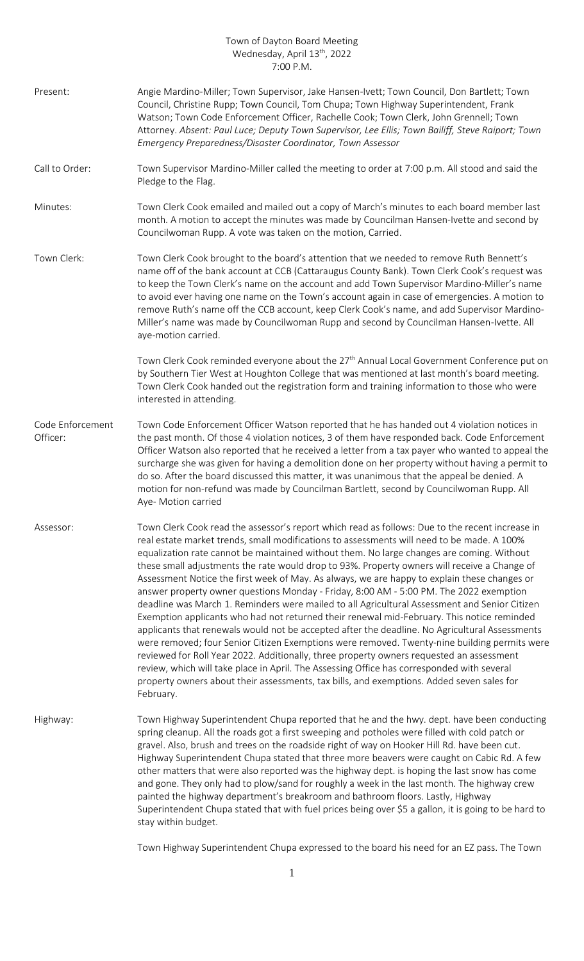## Town of Dayton Board Meeting Wednesday, April 13<sup>th</sup>, 2022 7:00 P.M.

| Present:                     | Angie Mardino-Miller; Town Supervisor, Jake Hansen-Ivett; Town Council, Don Bartlett; Town<br>Council, Christine Rupp; Town Council, Tom Chupa; Town Highway Superintendent, Frank<br>Watson; Town Code Enforcement Officer, Rachelle Cook; Town Clerk, John Grennell; Town<br>Attorney. Absent: Paul Luce; Deputy Town Supervisor, Lee Ellis; Town Bailiff, Steve Raiport; Town<br>Emergency Preparedness/Disaster Coordinator, Town Assessor                                                                                                                                                                                                                                                                                                                                                                                                                                                                                                                                                                                                                                                                                                                                                                                                                                            |
|------------------------------|-------------------------------------------------------------------------------------------------------------------------------------------------------------------------------------------------------------------------------------------------------------------------------------------------------------------------------------------------------------------------------------------------------------------------------------------------------------------------------------------------------------------------------------------------------------------------------------------------------------------------------------------------------------------------------------------------------------------------------------------------------------------------------------------------------------------------------------------------------------------------------------------------------------------------------------------------------------------------------------------------------------------------------------------------------------------------------------------------------------------------------------------------------------------------------------------------------------------------------------------------------------------------------------------|
| Call to Order:               | Town Supervisor Mardino-Miller called the meeting to order at 7:00 p.m. All stood and said the<br>Pledge to the Flag.                                                                                                                                                                                                                                                                                                                                                                                                                                                                                                                                                                                                                                                                                                                                                                                                                                                                                                                                                                                                                                                                                                                                                                     |
| Minutes:                     | Town Clerk Cook emailed and mailed out a copy of March's minutes to each board member last<br>month. A motion to accept the minutes was made by Councilman Hansen-Ivette and second by<br>Councilwoman Rupp. A vote was taken on the motion, Carried.                                                                                                                                                                                                                                                                                                                                                                                                                                                                                                                                                                                                                                                                                                                                                                                                                                                                                                                                                                                                                                     |
| Town Clerk:                  | Town Clerk Cook brought to the board's attention that we needed to remove Ruth Bennett's<br>name off of the bank account at CCB (Cattaraugus County Bank). Town Clerk Cook's request was<br>to keep the Town Clerk's name on the account and add Town Supervisor Mardino-Miller's name<br>to avoid ever having one name on the Town's account again in case of emergencies. A motion to<br>remove Ruth's name off the CCB account, keep Clerk Cook's name, and add Supervisor Mardino-<br>Miller's name was made by Councilwoman Rupp and second by Councilman Hansen-Ivette. All<br>aye-motion carried.                                                                                                                                                                                                                                                                                                                                                                                                                                                                                                                                                                                                                                                                                  |
|                              | Town Clerk Cook reminded everyone about the 27 <sup>th</sup> Annual Local Government Conference put on<br>by Southern Tier West at Houghton College that was mentioned at last month's board meeting.<br>Town Clerk Cook handed out the registration form and training information to those who were<br>interested in attending.                                                                                                                                                                                                                                                                                                                                                                                                                                                                                                                                                                                                                                                                                                                                                                                                                                                                                                                                                          |
| Code Enforcement<br>Officer: | Town Code Enforcement Officer Watson reported that he has handed out 4 violation notices in<br>the past month. Of those 4 violation notices, 3 of them have responded back. Code Enforcement<br>Officer Watson also reported that he received a letter from a tax payer who wanted to appeal the<br>surcharge she was given for having a demolition done on her property without having a permit to<br>do so. After the board discussed this matter, it was unanimous that the appeal be denied. A<br>motion for non-refund was made by Councilman Bartlett, second by Councilwoman Rupp. All<br>Aye- Motion carried                                                                                                                                                                                                                                                                                                                                                                                                                                                                                                                                                                                                                                                                      |
| Assessor:                    | Town Clerk Cook read the assessor's report which read as follows: Due to the recent increase in<br>real estate market trends, small modifications to assessments will need to be made. A 100%<br>equalization rate cannot be maintained without them. No large changes are coming. Without<br>these small adjustments the rate would drop to 93%. Property owners will receive a Change of<br>Assessment Notice the first week of May. As always, we are happy to explain these changes or<br>answer property owner questions Monday - Friday, 8:00 AM - 5:00 PM. The 2022 exemption<br>deadline was March 1. Reminders were mailed to all Agricultural Assessment and Senior Citizen<br>Exemption applicants who had not returned their renewal mid-February. This notice reminded<br>applicants that renewals would not be accepted after the deadline. No Agricultural Assessments<br>were removed; four Senior Citizen Exemptions were removed. Twenty-nine building permits were<br>reviewed for Roll Year 2022. Additionally, three property owners requested an assessment<br>review, which will take place in April. The Assessing Office has corresponded with several<br>property owners about their assessments, tax bills, and exemptions. Added seven sales for<br>February. |
| Highway:                     | Town Highway Superintendent Chupa reported that he and the hwy. dept. have been conducting<br>spring cleanup. All the roads got a first sweeping and potholes were filled with cold patch or<br>gravel. Also, brush and trees on the roadside right of way on Hooker Hill Rd. have been cut.<br>Highway Superintendent Chupa stated that three more beavers were caught on Cabic Rd. A few<br>other matters that were also reported was the highway dept. is hoping the last snow has come<br>and gone. They only had to plow/sand for roughly a week in the last month. The highway crew<br>painted the highway department's breakroom and bathroom floors. Lastly, Highway<br>Superintendent Chupa stated that with fuel prices being over \$5 a gallon, it is going to be hard to<br>stay within budget.                                                                                                                                                                                                                                                                                                                                                                                                                                                                               |

Town Highway Superintendent Chupa expressed to the board his need for an EZ pass. The Town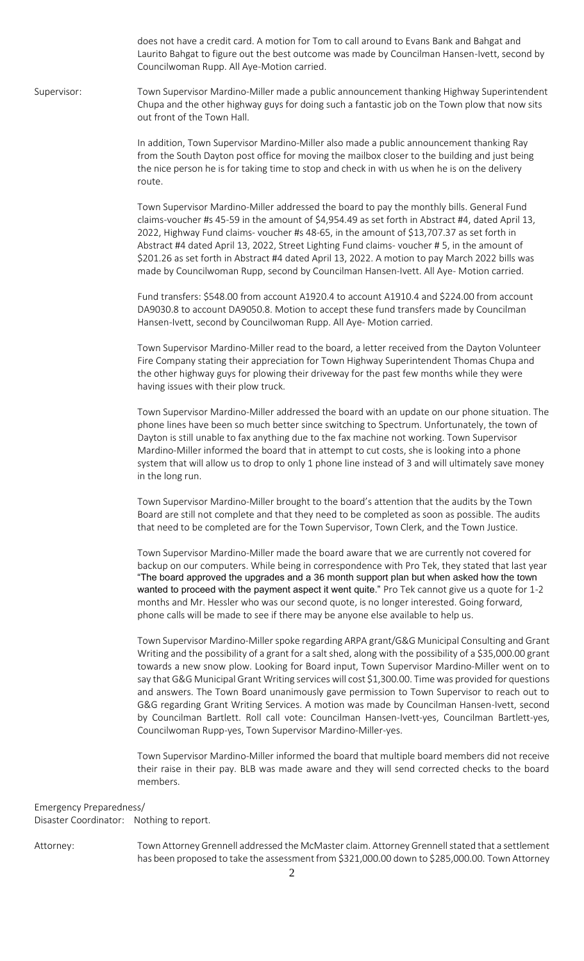does not have a credit card. A motion for Tom to call around to Evans Bank and Bahgat and Laurito Bahgat to figure out the best outcome was made by Councilman Hansen-Ivett, second by Councilwoman Rupp. All Aye-Motion carried.

Supervisor: Town Supervisor Mardino-Miller made a public announcement thanking Highway Superintendent Chupa and the other highway guys for doing such a fantastic job on the Town plow that now sits out front of the Town Hall.

> In addition, Town Supervisor Mardino-Miller also made a public announcement thanking Ray from the South Dayton post office for moving the mailbox closer to the building and just being the nice person he is for taking time to stop and check in with us when he is on the delivery route.

> Town Supervisor Mardino-Miller addressed the board to pay the monthly bills. General Fund claims-voucher #s 45-59 in the amount of \$4,954.49 as set forth in Abstract #4, dated April 13, 2022, Highway Fund claims- voucher #s 48-65, in the amount of \$13,707.37 as set forth in Abstract #4 dated April 13, 2022, Street Lighting Fund claims- voucher # 5, in the amount of \$201.26 as set forth in Abstract #4 dated April 13, 2022. A motion to pay March 2022 bills was made by Councilwoman Rupp, second by Councilman Hansen-Ivett. All Aye- Motion carried.

> Fund transfers: \$548.00 from account A1920.4 to account A1910.4 and \$224.00 from account DA9030.8 to account DA9050.8. Motion to accept these fund transfers made by Councilman Hansen-Ivett, second by Councilwoman Rupp. All Aye- Motion carried.

Town Supervisor Mardino-Miller read to the board, a letter received from the Dayton Volunteer Fire Company stating their appreciation for Town Highway Superintendent Thomas Chupa and the other highway guys for plowing their driveway for the past few months while they were having issues with their plow truck.

Town Supervisor Mardino-Miller addressed the board with an update on our phone situation. The phone lines have been so much better since switching to Spectrum. Unfortunately, the town of Dayton is still unable to fax anything due to the fax machine not working. Town Supervisor Mardino-Miller informed the board that in attempt to cut costs, she is looking into a phone system that will allow us to drop to only 1 phone line instead of 3 and will ultimately save money in the long run.

Town Supervisor Mardino-Miller brought to the board's attention that the audits by the Town Board are still not complete and that they need to be completed as soon as possible. The audits that need to be completed are for the Town Supervisor, Town Clerk, and the Town Justice.

Town Supervisor Mardino-Miller made the board aware that we are currently not covered for backup on our computers. While being in correspondence with Pro Tek, they stated that last year "The board approved the upgrades and a 36 month support plan but when asked how the town wanted to proceed with the payment aspect it went quite." Pro Tek cannot give us a quote for 1-2 months and Mr. Hessler who was our second quote, is no longer interested. Going forward, phone calls will be made to see if there may be anyone else available to help us.

Town Supervisor Mardino-Miller spoke regarding ARPA grant/G&G Municipal Consulting and Grant Writing and the possibility of a grant for a salt shed, along with the possibility of a \$35,000.00 grant towards a new snow plow. Looking for Board input, Town Supervisor Mardino-Miller went on to say that G&G Municipal Grant Writing services will cost \$1,300.00. Time was provided for questions and answers. The Town Board unanimously gave permission to Town Supervisor to reach out to G&G regarding Grant Writing Services. A motion was made by Councilman Hansen-Ivett, second by Councilman Bartlett. Roll call vote: Councilman Hansen-Ivett-yes, Councilman Bartlett-yes, Councilwoman Rupp-yes, Town Supervisor Mardino-Miller-yes.

Town Supervisor Mardino-Miller informed the board that multiple board members did not receive their raise in their pay. BLB was made aware and they will send corrected checks to the board members.

Emergency Preparedness/

Disaster Coordinator: Nothing to report.

Attorney: Town Attorney Grennell addressed the McMaster claim. Attorney Grennell stated that a settlement has been proposed to take the assessment from \$321,000.00 down to \$285,000.00. Town Attorney